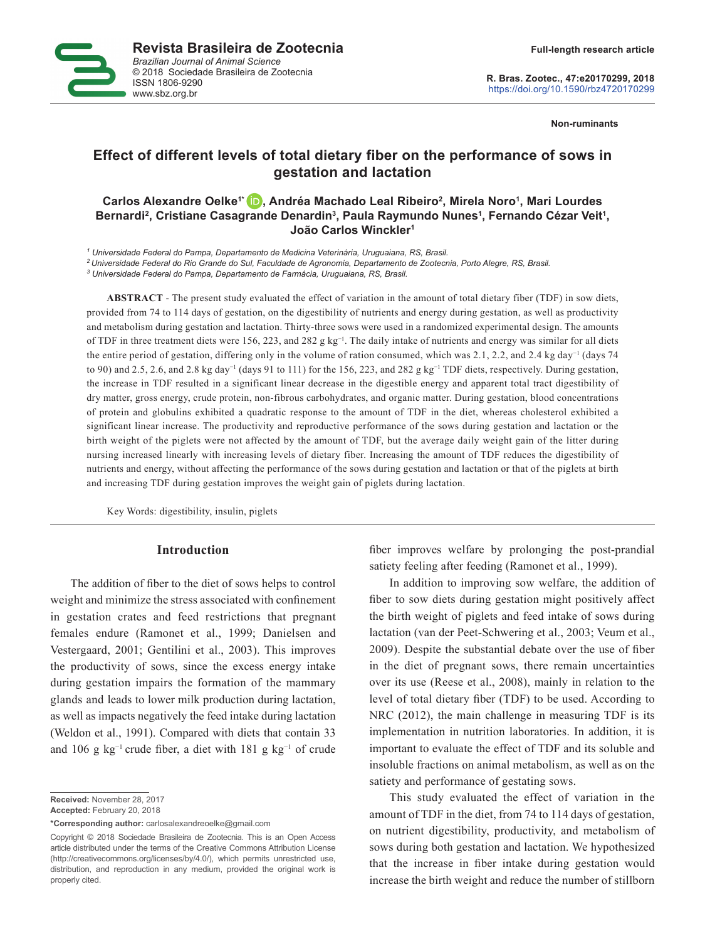

**R. Bras. Zootec., 47:e20170299, 2018** https://doi.org/10.1590/rbz4720170299

**Non-ruminants**

# **Effect of different levels of total dietary fiber on the performance of sows in gestation and lactation**

# **Carlos Alexandre Oelke1[\\* ,](https://orcid.org/0000-0003-0744-8302) Andréa Machado Leal Ribeiro2 , Mirela Noro1 , Mari Lourdes**  Bernardi<sup>2</sup>, Cristiane Casagrande Denardin<sup>3</sup>, Paula Raymundo Nunes<sup>1</sup>, Fernando Cézar Veit<sup>1</sup>, **João Carlos Winckler1**

*1 Universidade Federal do Pampa, Departamento de Medicina Veterinária, Uruguaiana, RS, Brasil.*

*2 Universidade Federal do Rio Grande do Sul, Faculdade de Agronomia, Departamento de Zootecnia, Porto Alegre, RS, Brasil.*

*3 Universidade Federal do Pampa, Departamento de Farmácia, Uruguaiana, RS, Brasil.*

**ABSTRACT** - The present study evaluated the effect of variation in the amount of total dietary fiber (TDF) in sow diets, provided from 74 to 114 days of gestation, on the digestibility of nutrients and energy during gestation, as well as productivity and metabolism during gestation and lactation. Thirty-three sows were used in a randomized experimental design. The amounts of TDF in three treatment diets were 156, 223, and 282 g kg<sup>-1</sup>. The daily intake of nutrients and energy was similar for all diets the entire period of gestation, differing only in the volume of ration consumed, which was 2.1, 2.2, and 2.4 kg day<sup>−1</sup> (days 74 to 90) and 2.5, 2.6, and 2.8 kg day<sup>−1</sup> (days 91 to 111) for the 156, 223, and 282 g kg<sup>−1</sup> TDF diets, respectively. During gestation, the increase in TDF resulted in a significant linear decrease in the digestible energy and apparent total tract digestibility of dry matter, gross energy, crude protein, non-fibrous carbohydrates, and organic matter. During gestation, blood concentrations of protein and globulins exhibited a quadratic response to the amount of TDF in the diet, whereas cholesterol exhibited a significant linear increase. The productivity and reproductive performance of the sows during gestation and lactation or the birth weight of the piglets were not affected by the amount of TDF, but the average daily weight gain of the litter during nursing increased linearly with increasing levels of dietary fiber. Increasing the amount of TDF reduces the digestibility of nutrients and energy, without affecting the performance of the sows during gestation and lactation or that of the piglets at birth and increasing TDF during gestation improves the weight gain of piglets during lactation.

Key Words: digestibility, insulin, piglets

### **Introduction**

The addition of fiber to the diet of sows helps to control weight and minimize the stress associated with confinement in gestation crates and feed restrictions that pregnant females endure (Ramonet et al., 1999; Danielsen and Vestergaard, 2001; Gentilini et al., 2003). This improves the productivity of sows, since the excess energy intake during gestation impairs the formation of the mammary glands and leads to lower milk production during lactation, as well as impacts negatively the feed intake during lactation (Weldon et al., 1991). Compared with diets that contain 33 and 106 g kg<sup>-1</sup> crude fiber, a diet with 181 g kg<sup>-1</sup> of crude

**Received:** November 28, 2017

**Accepted:** February 20, 2018

**\*Corresponding author:** carlosalexandreoelke@gmail.com

Copyright © 2018 Sociedade Brasileira de Zootecnia. This is an Open Access article distributed under the terms of the Creative Commons Attribution License (http://creativecommons.org/licenses/by/4.0/), which permits unrestricted use, distribution, and reproduction in any medium, provided the original work is properly cited.

fiber improves welfare by prolonging the post-prandial satiety feeling after feeding (Ramonet et al., 1999).

In addition to improving sow welfare, the addition of fiber to sow diets during gestation might positively affect the birth weight of piglets and feed intake of sows during lactation (van der Peet-Schwering et al., 2003; Veum et al., 2009). Despite the substantial debate over the use of fiber in the diet of pregnant sows, there remain uncertainties over its use (Reese et al., 2008), mainly in relation to the level of total dietary fiber (TDF) to be used. According to NRC (2012), the main challenge in measuring TDF is its implementation in nutrition laboratories. In addition, it is important to evaluate the effect of TDF and its soluble and insoluble fractions on animal metabolism, as well as on the satiety and performance of gestating sows.

This study evaluated the effect of variation in the amount of TDF in the diet, from 74 to 114 days of gestation, on nutrient digestibility, productivity, and metabolism of sows during both gestation and lactation. We hypothesized that the increase in fiber intake during gestation would increase the birth weight and reduce the number of stillborn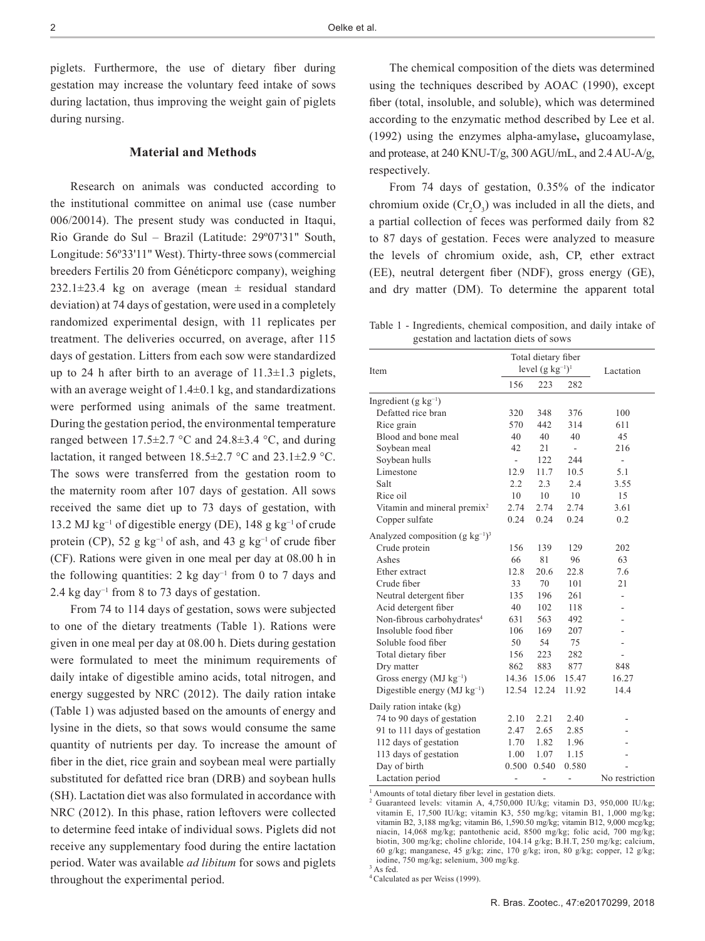piglets. Furthermore, the use of dietary fiber during gestation may increase the voluntary feed intake of sows during lactation, thus improving the weight gain of piglets during nursing.

# **Material and Methods**

Research on animals was conducted according to the institutional committee on animal use (case number 006/20014). The present study was conducted in Itaqui, Rio Grande do Sul – Brazil (Latitude: 29º07'31" South, Longitude: 56º33'11" West). Thirty-three sows (commercial breeders Fertilis 20 from Généticporc company), weighing 232.1 $\pm$ 23.4 kg on average (mean  $\pm$  residual standard deviation) at 74 days of gestation, were used in a completely randomized experimental design, with 11 replicates per treatment. The deliveries occurred, on average, after 115 days of gestation. Litters from each sow were standardized up to 24 h after birth to an average of  $11.3 \pm 1.3$  piglets, with an average weight of  $1.4\pm0.1$  kg, and standardizations were performed using animals of the same treatment. During the gestation period, the environmental temperature ranged between  $17.5\pm2.7$  °C and  $24.8\pm3.4$  °C, and during lactation, it ranged between  $18.5 \pm 2.7$  °C and  $23.1 \pm 2.9$  °C. The sows were transferred from the gestation room to the maternity room after 107 days of gestation. All sows received the same diet up to 73 days of gestation, with 13.2 MJ kg−1 of digestible energy (DE), 148 g kg−1 of crude protein (CP), 52 g kg<sup>-1</sup> of ash, and 43 g kg<sup>-1</sup> of crude fiber (CF). Rations were given in one meal per day at 08.00 h in the following quantities: 2 kg day<sup>-1</sup> from 0 to 7 days and 2.4 kg day−1 from 8 to 73 days of gestation.

From 74 to 114 days of gestation, sows were subjected to one of the dietary treatments (Table 1). Rations were given in one meal per day at 08.00 h. Diets during gestation were formulated to meet the minimum requirements of daily intake of digestible amino acids, total nitrogen, and energy suggested by NRC (2012). The daily ration intake (Table 1) was adjusted based on the amounts of energy and lysine in the diets, so that sows would consume the same quantity of nutrients per day. To increase the amount of fiber in the diet, rice grain and soybean meal were partially substituted for defatted rice bran (DRB) and soybean hulls (SH). Lactation diet was also formulated in accordance with NRC (2012). In this phase, ration leftovers were collected to determine feed intake of individual sows. Piglets did not receive any supplementary food during the entire lactation period. Water was available *ad libitum* for sows and piglets throughout the experimental period.

The chemical composition of the diets was determined using the techniques described by AOAC (1990), except fiber (total, insoluble, and soluble), which was determined according to the enzymatic method described by Lee et al. (1992) using the enzymes alpha-amylase**,** glucoamylase, and protease, at 240 KNU-T/g, 300 AGU/mL, and 2.4 AU-A/g, respectively.

From 74 days of gestation, 0.35% of the indicator chromium oxide  $(Cr_2O_3)$  was included in all the diets, and a partial collection of feces was performed daily from 82 to 87 days of gestation. Feces were analyzed to measure the levels of chromium oxide, ash, CP, ether extract (EE), neutral detergent fiber (NDF), gross energy (GE), and dry matter (DM). To determine the apparent total

Table 1 - Ingredients, chemical composition, and daily intake of gestation and lactation diets of sows

| Item                                        |                          | Total dietary fiber<br>level $(g \ kg^{-1})^1$ |                          | Lactation                |
|---------------------------------------------|--------------------------|------------------------------------------------|--------------------------|--------------------------|
|                                             | 156                      | 223                                            | 282                      |                          |
| Ingredient $(g \ kg^{-1})$                  |                          |                                                |                          |                          |
| Defatted rice bran                          | 320                      | 348                                            | 376                      | 100                      |
| Rice grain                                  | 570                      | 442                                            | 314                      | 611                      |
| Blood and bone meal                         | 40                       | 40                                             | 40                       | 45                       |
| Soybean meal                                | 42                       | 21                                             | $\overline{\phantom{0}}$ | 216                      |
| Soybean hulls                               | $\overline{\phantom{a}}$ | 122                                            | 244                      | $\overline{\phantom{a}}$ |
| Limestone                                   | 12.9                     | 11.7                                           | 10.5                     | 5.1                      |
| Salt                                        | 2.2                      | 2.3                                            | 2.4                      | 3.55                     |
| Rice oil                                    | 10                       | 10                                             | 10                       | 15                       |
| Vitamin and mineral premix <sup>2</sup>     | 2.74                     | 2.74                                           | 2.74                     | 3.61                     |
| Copper sulfate                              | 0.24                     | 0.24                                           | 0.24                     | 0.2                      |
| Analyzed composition $(g \ kg^{-1})^3$      |                          |                                                |                          |                          |
| Crude protein                               | 156                      | 139                                            | 129                      | 202                      |
| Ashes                                       | 66                       | 81                                             | 96                       | 63                       |
| Ether extract                               | 12.8                     | 20.6                                           | 22.8                     | 7.6                      |
| Crude fiber                                 | 33                       | 70                                             | 101                      | 21                       |
| Neutral detergent fiber                     | 135                      | 196                                            | 261                      |                          |
| Acid detergent fiber                        | 40                       | 102                                            | 118                      |                          |
| Non-fibrous carbohydrates <sup>4</sup>      | 631                      | 563                                            | 492                      |                          |
| Insoluble food fiber                        | 106                      | 169                                            | 207                      |                          |
| Soluble food fiber                          | 50                       | 54                                             | 75                       |                          |
| Total dietary fiber                         | 156                      | 223                                            | 282                      |                          |
| Dry matter                                  | 862                      | 883                                            | 877                      | 848                      |
| Gross energy ( $MJ kg^{-1}$ )               | 14.36                    | 15.06                                          | 15.47                    | 16.27                    |
| Digestible energy ( $MJ$ kg <sup>-1</sup> ) | 12.54                    | 12.24                                          | 11.92                    | 14.4                     |
| Daily ration intake (kg)                    |                          |                                                |                          |                          |
| 74 to 90 days of gestation                  | 2.10                     | 2.21                                           | 2.40                     |                          |
| 91 to 111 days of gestation                 | 2.47                     | 2.65                                           | 2.85                     |                          |
| 112 days of gestation                       | 1.70                     | 1.82                                           | 1.96                     |                          |
| 113 days of gestation                       | 1.00                     | 1.07                                           | 1.15                     |                          |
| Day of birth                                | 0.500                    | 0.540                                          | 0.580                    |                          |
| Lactation period                            |                          | ÷                                              | -                        | No restriction           |

<sup>1</sup> Amounts of total dietary fiber level in gestation diets.

<sup>2</sup> Guaranteed levels: vitamin A, 4,750,000 IU/kg; vitamin D3, 950,000 IU/kg; vitamin E, 17,500 IU/kg; vitamin K3, 550 mg/kg; vitamin B1, 1,000 mg/kg; vitamin B2, 3,188 mg/kg; vitamin B6, 1,590.50 mg/kg; vitamin B12, 9,000 mcg/kg; niacin, 14,068 mg/kg; pantothenic acid, 8500 mg/kg; folic acid, 700 mg/kg; biotin, 300 mg/kg; choline chloride, 104.14 g/kg; B.H.T, 250 mg/kg; calcium, 60 g/kg; manganese, 45 g/kg; zinc, 170 g/kg; iron, 80 g/kg; copper, 12 g/kg; iodine, 750 mg/kg; selenium, 300 mg/kg. 3 As fed.

<sup>4</sup> Calculated as per Weiss (1999).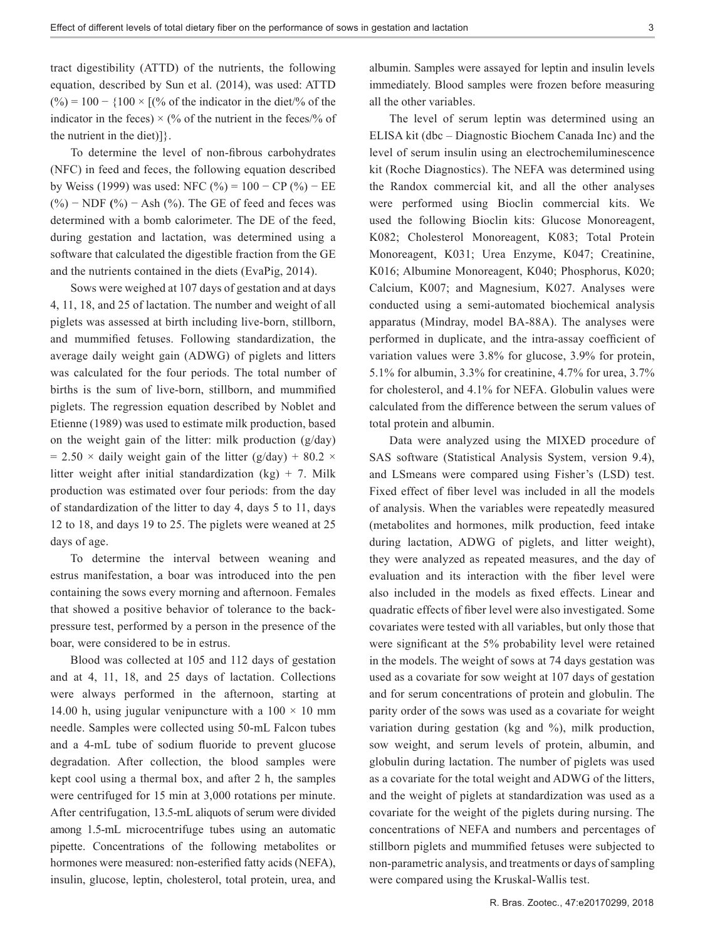tract digestibility (ATTD) of the nutrients, the following equation, described by Sun et al. (2014), was used: ATTD  $(%) = 100 - {100 \times [(% of the indicator in the diet)/% of the$ indicator in the feces)  $\times$  (% of the nutrient in the feces/% of the nutrient in the diet)]}.

To determine the level of non-fibrous carbohydrates (NFC) in feed and feces, the following equation described by Weiss (1999) was used: NFC (%) =  $100 - CP$  (%) – EE (%) − NDF **(**%) − Ash (%). The GE of feed and feces was determined with a bomb calorimeter. The DE of the feed, during gestation and lactation, was determined using a software that calculated the digestible fraction from the GE and the nutrients contained in the diets (EvaPig, 2014).

Sows were weighed at 107 days of gestation and at days 4, 11, 18, and 25 of lactation. The number and weight of all piglets was assessed at birth including live-born, stillborn, and mummified fetuses. Following standardization, the average daily weight gain (ADWG) of piglets and litters was calculated for the four periods. The total number of births is the sum of live-born, stillborn, and mummified piglets. The regression equation described by Noblet and Etienne (1989) was used to estimate milk production, based on the weight gain of the litter: milk production (g/day)  $= 2.50 \times$  daily weight gain of the litter (g/day) + 80.2  $\times$ litter weight after initial standardization  $(kg) + 7$ . Milk production was estimated over four periods: from the day of standardization of the litter to day 4, days 5 to 11, days 12 to 18, and days 19 to 25. The piglets were weaned at 25 days of age.

To determine the interval between weaning and estrus manifestation, a boar was introduced into the pen containing the sows every morning and afternoon. Females that showed a positive behavior of tolerance to the backpressure test, performed by a person in the presence of the boar, were considered to be in estrus.

Blood was collected at 105 and 112 days of gestation and at 4, 11, 18, and 25 days of lactation. Collections were always performed in the afternoon, starting at 14.00 h, using jugular venipuncture with a  $100 \times 10$  mm needle. Samples were collected using 50-mL Falcon tubes and a 4-mL tube of sodium fluoride to prevent glucose degradation. After collection, the blood samples were kept cool using a thermal box, and after 2 h, the samples were centrifuged for 15 min at 3,000 rotations per minute. After centrifugation, 13.5-mL aliquots of serum were divided among 1.5-mL microcentrifuge tubes using an automatic pipette. Concentrations of the following metabolites or hormones were measured: non-esterified fatty acids (NEFA), insulin, glucose, leptin, cholesterol, total protein, urea, and albumin. Samples were assayed for leptin and insulin levels immediately. Blood samples were frozen before measuring all the other variables.

The level of serum leptin was determined using an ELISA kit (dbc – Diagnostic Biochem Canada Inc) and the level of serum insulin using an electrochemiluminescence kit (Roche Diagnostics). The NEFA was determined using the Randox commercial kit, and all the other analyses were performed using Bioclin commercial kits. We used the following Bioclin kits: Glucose Monoreagent, K082; Cholesterol Monoreagent, K083; Total Protein Monoreagent, K031; Urea Enzyme, K047; Creatinine, K016; Albumine Monoreagent, K040; Phosphorus, K020; Calcium, K007; and Magnesium, K027. Analyses were conducted using a semi-automated biochemical analysis apparatus (Mindray, model BA-88A). The analyses were performed in duplicate, and the intra-assay coefficient of variation values were 3.8% for glucose, 3.9% for protein, 5.1% for albumin, 3.3% for creatinine, 4.7% for urea, 3.7% for cholesterol, and 4.1% for NEFA. Globulin values were calculated from the difference between the serum values of total protein and albumin.

Data were analyzed using the MIXED procedure of SAS software (Statistical Analysis System, version 9.4), and LSmeans were compared using Fisher's (LSD) test. Fixed effect of fiber level was included in all the models of analysis. When the variables were repeatedly measured (metabolites and hormones, milk production, feed intake during lactation, ADWG of piglets, and litter weight), they were analyzed as repeated measures, and the day of evaluation and its interaction with the fiber level were also included in the models as fixed effects. Linear and quadratic effects of fiber level were also investigated. Some covariates were tested with all variables, but only those that were significant at the 5% probability level were retained in the models. The weight of sows at 74 days gestation was used as a covariate for sow weight at 107 days of gestation and for serum concentrations of protein and globulin. The parity order of the sows was used as a covariate for weight variation during gestation (kg and %), milk production, sow weight, and serum levels of protein, albumin, and globulin during lactation. The number of piglets was used as a covariate for the total weight and ADWG of the litters, and the weight of piglets at standardization was used as a covariate for the weight of the piglets during nursing. The concentrations of NEFA and numbers and percentages of stillborn piglets and mummified fetuses were subjected to non-parametric analysis, and treatments or days of sampling were compared using the Kruskal-Wallis test.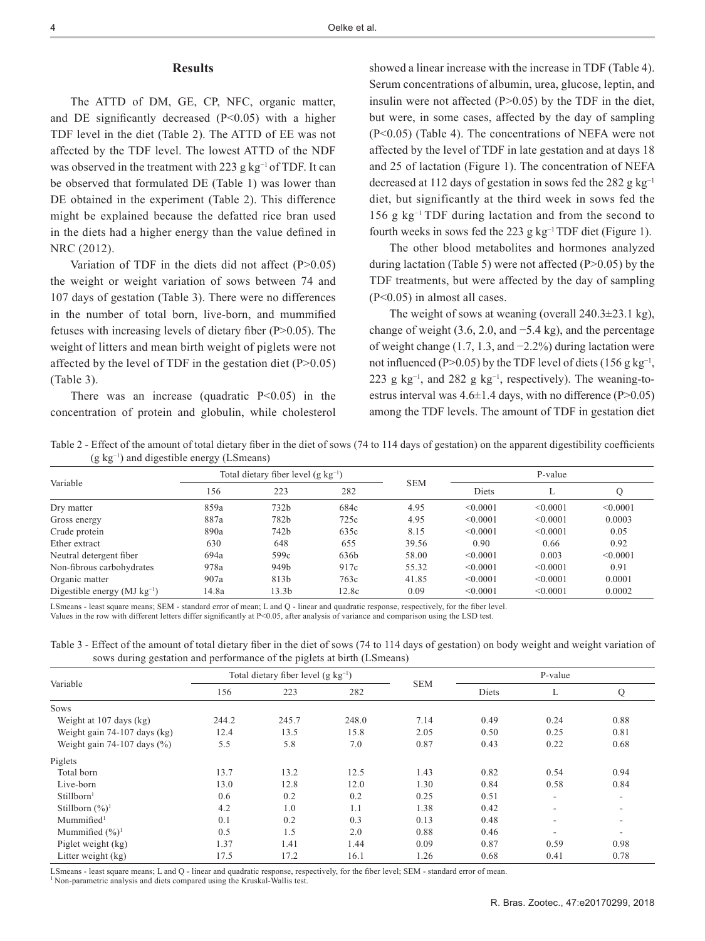#### **Results**

The ATTD of DM, GE, CP, NFC, organic matter, and DE significantly decreased (P<0.05) with a higher TDF level in the diet (Table 2). The ATTD of EE was not affected by the TDF level. The lowest ATTD of the NDF was observed in the treatment with 223 g kg<sup>-1</sup> of TDF. It can be observed that formulated DE (Table 1) was lower than DE obtained in the experiment (Table 2). This difference might be explained because the defatted rice bran used in the diets had a higher energy than the value defined in NRC (2012).

Variation of TDF in the diets did not affect (P>0.05) the weight or weight variation of sows between 74 and 107 days of gestation (Table 3). There were no differences in the number of total born, live-born, and mummified fetuses with increasing levels of dietary fiber (P>0.05). The weight of litters and mean birth weight of piglets were not affected by the level of TDF in the gestation diet  $(P>0.05)$ (Table 3).

There was an increase (quadratic  $P \le 0.05$ ) in the concentration of protein and globulin, while cholesterol showed a linear increase with the increase in TDF (Table 4). Serum concentrations of albumin, urea, glucose, leptin, and insulin were not affected  $(P>0.05)$  by the TDF in the diet, but were, in some cases, affected by the day of sampling (P<0.05) (Table 4). The concentrations of NEFA were not affected by the level of TDF in late gestation and at days 18 and 25 of lactation (Figure 1). The concentration of NEFA decreased at 112 days of gestation in sows fed the 282 g  $kg^{-1}$ diet, but significantly at the third week in sows fed the 156 g kg−1 TDF during lactation and from the second to fourth weeks in sows fed the 223 g kg<sup>-1</sup> TDF diet (Figure 1).

The other blood metabolites and hormones analyzed during lactation (Table 5) were not affected (P>0.05) by the TDF treatments, but were affected by the day of sampling (P<0.05) in almost all cases.

The weight of sows at weaning (overall  $240.3\pm23.1$  kg), change of weight (3.6, 2.0, and −5.4 kg), and the percentage of weight change (1.7, 1.3, and −2.2%) during lactation were not influenced (P>0.05) by the TDF level of diets (156 g kg<sup>-1</sup>, 223 g kg<sup>-1</sup>, and 282 g kg<sup>-1</sup>, respectively). The weaning-toestrus interval was  $4.6\pm1.4$  days, with no difference (P $>0.05$ ) among the TDF levels. The amount of TDF in gestation diet

Table 2 - Effect of the amount of total dietary fiber in the diet of sows (74 to 114 days of gestation) on the apparent digestibility coefficients (g kg−1) and digestible energy (LSmeans)

| Total dietary fiber level $(g \ kg^{-1})$<br>Variable<br>156<br>223<br>282<br>859a<br>732b<br>684c<br>Dry matter<br>887a<br>782b<br>725c<br>Gross energy<br>890a<br>742b<br>635c<br>Crude protein<br>630<br>648<br>655<br>Ether extract<br>694a<br>599c<br>636b<br>Neutral detergent fiber<br>917c<br>Non-fibrous carbohydrates<br>949b<br>978a<br>907a<br>763c<br>813b<br>Organic matter<br>Digestible energy $(MJ kg^{-1})$<br>14.8a<br>13.3b<br>12.8c |  | P-value |            |          |          |          |  |
|----------------------------------------------------------------------------------------------------------------------------------------------------------------------------------------------------------------------------------------------------------------------------------------------------------------------------------------------------------------------------------------------------------------------------------------------------------|--|---------|------------|----------|----------|----------|--|
|                                                                                                                                                                                                                                                                                                                                                                                                                                                          |  |         | <b>SEM</b> | Diets    | L        |          |  |
|                                                                                                                                                                                                                                                                                                                                                                                                                                                          |  |         | 4.95       | < 0.0001 | < 0.0001 | < 0.0001 |  |
|                                                                                                                                                                                                                                                                                                                                                                                                                                                          |  |         | 4.95       | < 0.0001 | < 0.0001 | 0.0003   |  |
|                                                                                                                                                                                                                                                                                                                                                                                                                                                          |  |         | 8.15       | < 0.0001 | < 0.0001 | 0.05     |  |
|                                                                                                                                                                                                                                                                                                                                                                                                                                                          |  |         | 39.56      | 0.90     | 0.66     | 0.92     |  |
|                                                                                                                                                                                                                                                                                                                                                                                                                                                          |  |         | 58.00      | < 0.0001 | 0.003    | < 0.0001 |  |
|                                                                                                                                                                                                                                                                                                                                                                                                                                                          |  |         | 55.32      | < 0.0001 | < 0.0001 | 0.91     |  |
|                                                                                                                                                                                                                                                                                                                                                                                                                                                          |  |         | 41.85      | < 0.0001 | < 0.0001 | 0.0001   |  |
|                                                                                                                                                                                                                                                                                                                                                                                                                                                          |  |         | 0.09       | < 0.0001 | < 0.0001 | 0.0002   |  |

LSmeans - least square means; SEM - standard error of mean; L and Q - linear and quadratic response, respectively, for the fiber level. Values in the row with different letters differ significantly at P<0.05, after analysis of variance and comparison using the LSD test.

Table 3 - Effect of the amount of total dietary fiber in the diet of sows (74 to 114 days of gestation) on body weight and weight variation of sows during gestation and performance of the piglets at birth (LSmeans)

|                                 |       | Total dietary fiber level $(g \text{ kg}^{-1})$ |       | P-value<br><b>SEM</b><br>Diets<br>L<br>7.14<br>0.49<br>0.24<br>2.05<br>0.50<br>0.25<br>0.87<br>0.43<br>0.22<br>1.43<br>0.82<br>0.54<br>1.30<br>0.58<br>0.84<br>0.25<br>0.51<br>$\overline{\phantom{a}}$<br>1.38<br>0.42<br>$\overline{\phantom{a}}$<br>0.13<br>0.48<br>$\overline{\phantom{a}}$<br>0.88<br>0.46<br>$\overline{\phantom{a}}$<br>0.09<br>0.87<br>0.59<br>1.26<br>0.68<br>0.41 |  |                          |  |
|---------------------------------|-------|-------------------------------------------------|-------|---------------------------------------------------------------------------------------------------------------------------------------------------------------------------------------------------------------------------------------------------------------------------------------------------------------------------------------------------------------------------------------------|--|--------------------------|--|
| Variable                        | 156   | 223                                             | 282   |                                                                                                                                                                                                                                                                                                                                                                                             |  | Q                        |  |
| <b>Sows</b>                     |       |                                                 |       |                                                                                                                                                                                                                                                                                                                                                                                             |  |                          |  |
| Weight at 107 days (kg)         | 244.2 | 245.7                                           | 248.0 |                                                                                                                                                                                                                                                                                                                                                                                             |  | 0.88                     |  |
| Weight gain 74-107 days (kg)    | 12.4  | 13.5                                            | 15.8  |                                                                                                                                                                                                                                                                                                                                                                                             |  | 0.81                     |  |
| Weight gain 74-107 days $(\% )$ | 5.5   | 5.8                                             | 7.0   |                                                                                                                                                                                                                                                                                                                                                                                             |  | 0.68                     |  |
| Piglets                         |       |                                                 |       |                                                                                                                                                                                                                                                                                                                                                                                             |  |                          |  |
| Total born                      | 13.7  | 13.2                                            | 12.5  |                                                                                                                                                                                                                                                                                                                                                                                             |  | 0.94                     |  |
| Live-born                       | 13.0  | 12.8                                            | 12.0  |                                                                                                                                                                                                                                                                                                                                                                                             |  | 0.84                     |  |
| Stillborn <sup>1</sup>          | 0.6   | 0.2                                             | 0.2   |                                                                                                                                                                                                                                                                                                                                                                                             |  | $\overline{\phantom{a}}$ |  |
| Stillborn $(\frac{6}{6})^1$     | 4.2   | 1.0                                             | 1.1   |                                                                                                                                                                                                                                                                                                                                                                                             |  | ۰                        |  |
| Mummified <sup>1</sup>          | 0.1   | 0.2                                             | 0.3   |                                                                                                                                                                                                                                                                                                                                                                                             |  | $\overline{\phantom{a}}$ |  |
| Mummified $(\frac{9}{6})^1$     | 0.5   | 1.5                                             | 2.0   |                                                                                                                                                                                                                                                                                                                                                                                             |  | ۰                        |  |
| Piglet weight (kg)              | 1.37  | 1.41                                            | 1.44  |                                                                                                                                                                                                                                                                                                                                                                                             |  | 0.98                     |  |
| Litter weight (kg)              | 17.5  | 17.2                                            | 16.1  |                                                                                                                                                                                                                                                                                                                                                                                             |  | 0.78                     |  |

LSmeans - least square means; L and Q - linear and quadratic response, respectively, for the fiber level; SEM - standard error of mean.

<sup>1</sup> Non-parametric analysis and diets compared using the Kruskal-Wallis test.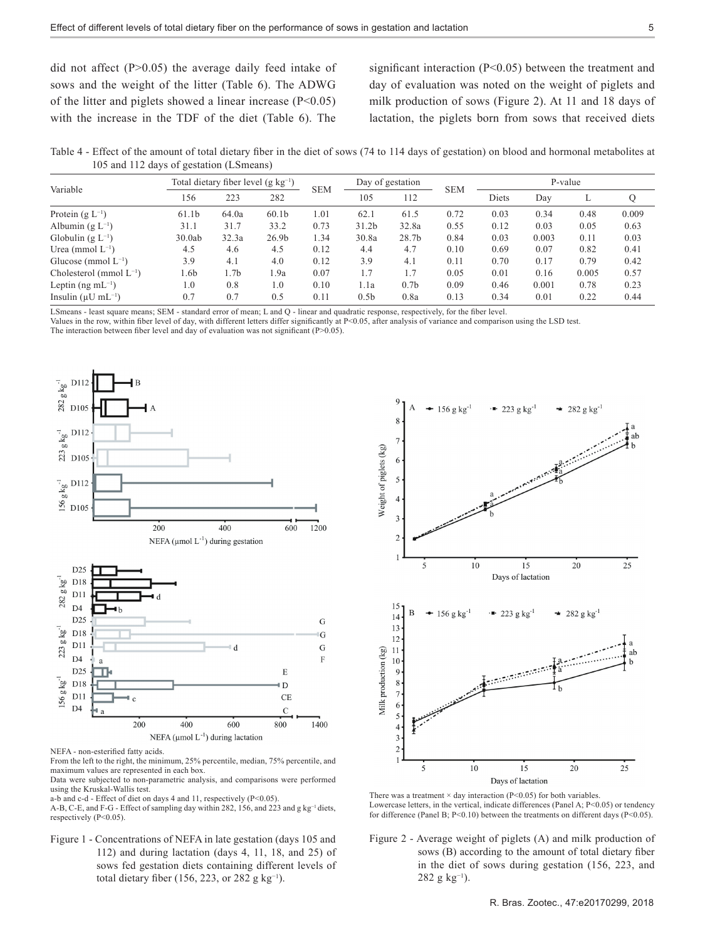did not affect (P>0.05) the average daily feed intake of sows and the weight of the litter (Table 6). The ADWG of the litter and piglets showed a linear increase  $(P<0.05)$ with the increase in the TDF of the diet (Table 6). The significant interaction (P<0.05) between the treatment and day of evaluation was noted on the weight of piglets and milk production of sows (Figure 2). At 11 and 18 days of lactation, the piglets born from sows that received diets

Table 4 - Effect of the amount of total dietary fiber in the diet of sows (74 to 114 days of gestation) on blood and hormonal metabolites at 105 and 112 days of gestation (LSmeans)

| Variable                             | Total dietary fiber level $(g \text{ kg}^{-1})$ |       |                   | <b>SEM</b> | Day of gestation  |                  | <b>SEM</b> | P-value |       |       |       |  |
|--------------------------------------|-------------------------------------------------|-------|-------------------|------------|-------------------|------------------|------------|---------|-------|-------|-------|--|
|                                      | 156                                             | 223   | 282               |            | 105               | 112              |            | Diets   | Day   | ⊷     | Q     |  |
| Protein $(g L^{-1})$                 | 61.1b                                           | 64.0a | 60.1 <sub>b</sub> | 1.01       | 62.1              | 61.5             | 0.72       | 0.03    | 0.34  | 0.48  | 0.009 |  |
| Albumin $(g L^{-1})$                 | 31.1                                            | 31.7  | 33.2              | 0.73       | 31.2 <sub>b</sub> | 32.8a            | 0.55       | 0.12    | 0.03  | 0.05  | 0.63  |  |
| Globulin $(g L^{-1})$                | 30.0ab                                          | 32.3a | 26.9 <sub>b</sub> | 1.34       | 30.8a             | 28.7b            | 0.84       | 0.03    | 0.003 | 0.11  | 0.03  |  |
| Urea (mmol $L^{-1}$ )                | 4.5                                             | 4.6   | 4.5               | 0.12       | 4.4               | 4.7              | 0.10       | 0.69    | 0.07  | 0.82  | 0.41  |  |
| Glucose (mmol $L^{-1}$ )             | 3.9                                             | 4.1   | 4.0               | 0.12       | 3.9               | 4.1              | 0.11       | 0.70    | 0.17  | 0.79  | 0.42  |  |
| Cholesterol (mmol $L^{-1}$ )         | l.6b                                            | 1.7b  | 1.9a              | 0.07       | 1.7               | 1.7              | 0.05       | 0.01    | 0.16  | 0.005 | 0.57  |  |
| Leptin (ng m $L^{-1}$ )              | 1.0                                             | 0.8   | 1.0               | 0.10       | 1.1a              | 0.7 <sub>b</sub> | 0.09       | 0.46    | 0.001 | 0.78  | 0.23  |  |
| Insulin ( $\mu$ U mL <sup>-1</sup> ) | 0.7                                             | 0.7   | 0.5               | 0.11       | 0.5 <sub>b</sub>  | 0.8a             | 0.13       | 0.34    | 0.01  | 0.22  | 0.44  |  |

LSmeans - least square means; SEM - standard error of mean; L and Q - linear and quadratic response, respectively, for the fiber level.

Values in the row, within fiber level of day, with different letters differ significantly at P<0.05, after analysis of variance and comparison using the LSD test.

The interaction between fiber level and day of evaluation was not significant ( $P > 0.05$ ).





From the left to the right, the minimum, 25% percentile, median, 75% percentile, and maximum values are represented in each box.

Data were subjected to non-parametric analysis, and comparisons were performed using the Kruskal-Wallis test.

a-b and c-d - Effect of diet on days 4 and 11, respectively (P<0.05).

A-B, C-E, and F-G - Effect of sampling day within 282, 156, and 223 and g kg<sup>-1</sup> diets, respectively (P<0.05)

Figure 1 - Concentrations of NEFA in late gestation (days 105 and 112) and during lactation (days 4, 11, 18, and 25) of sows fed gestation diets containing different levels of total dietary fiber (156, 223, or 282 g kg−1).



There was a treatment  $\times$  day interaction (P<0.05) for both variables Lowercase letters, in the vertical, indicate differences (Panel A; P<0.05) or tendency for difference (Panel B; P<0.10) between the treatments on different days (P<0.05).

Figure 2 - Average weight of piglets (A) and milk production of sows (B) according to the amount of total dietary fiber in the diet of sows during gestation (156, 223, and 282 g kg<sup>-1</sup>).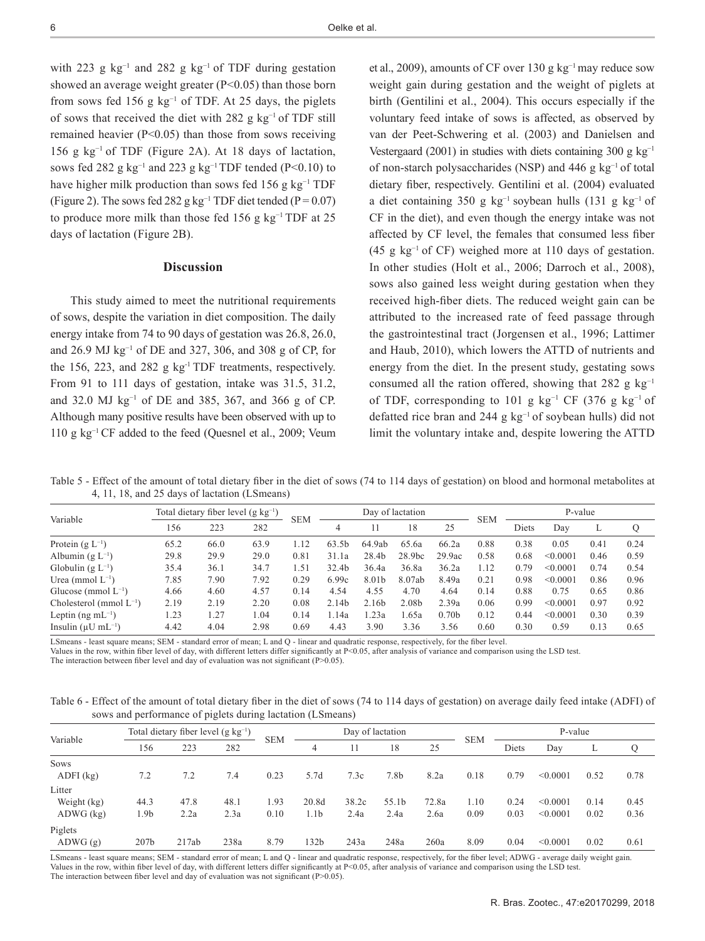with 223 g  $kg^{-1}$  and 282 g  $kg^{-1}$  of TDF during gestation showed an average weight greater  $(P<0.05)$  than those born from sows fed 156 g  $kg^{-1}$  of TDF. At 25 days, the piglets of sows that received the diet with 282 g kg−1 of TDF still remained heavier (P<0.05) than those from sows receiving 156 g kg−1 of TDF (Figure 2A). At 18 days of lactation, sows fed 282 g  $kg^{-1}$  and 223 g  $kg^{-1}$  TDF tended (P<0.10) to have higher milk production than sows fed 156 g kg<sup>-1</sup> TDF (Figure 2). The sows fed 282 g kg<sup>-1</sup> TDF diet tended (P =  $0.07$ ) to produce more milk than those fed 156 g kg<sup>-1</sup> TDF at 25 days of lactation (Figure 2B).

## **Discussion**

This study aimed to meet the nutritional requirements of sows, despite the variation in diet composition. The daily energy intake from 74 to 90 days of gestation was 26.8, 26.0, and 26.9 MJ kg−1 of DE and 327, 306, and 308 g of CP, for the 156, 223, and 282 g  $kg^{-1}$  TDF treatments, respectively. From 91 to 111 days of gestation, intake was 31.5, 31.2, and 32.0 MJ kg−1 of DE and 385, 367, and 366 g of CP. Although many positive results have been observed with up to 110 g kg−1 CF added to the feed (Quesnel et al., 2009; Veum

et al., 2009), amounts of CF over 130 g kg−1 may reduce sow weight gain during gestation and the weight of piglets at birth (Gentilini et al., 2004). This occurs especially if the voluntary feed intake of sows is affected, as observed by van der Peet-Schwering et al. (2003) and Danielsen and Vestergaard (2001) in studies with diets containing 300 g  $kg^{-1}$ of non-starch polysaccharides (NSP) and 446 g kg−1 of total dietary fiber, respectively. Gentilini et al. (2004) evaluated a diet containing 350 g kg−1 soybean hulls (131 g kg−1 of CF in the diet), and even though the energy intake was not affected by CF level, the females that consumed less fiber (45 g kg<sup>-1</sup> of CF) weighed more at 110 days of gestation. In other studies (Holt et al., 2006; Darroch et al., 2008), sows also gained less weight during gestation when they received high-fiber diets. The reduced weight gain can be attributed to the increased rate of feed passage through the gastrointestinal tract (Jorgensen et al., 1996; Lattimer and Haub, 2010), which lowers the ATTD of nutrients and energy from the diet. In the present study, gestating sows consumed all the ration offered, showing that 282 g  $kg^{-1}$ of TDF, corresponding to 101 g kg<sup>-1</sup> CF (376 g kg<sup>-1</sup> of defatted rice bran and 244 g kg−1 of soybean hulls) did not limit the voluntary intake and, despite lowering the ATTD

Table 5 - Effect of the amount of total dietary fiber in the diet of sows (74 to 114 days of gestation) on blood and hormonal metabolites at 4, 11, 18, and 25 days of lactation (LSmeans)

| Variable                             | Total dietary fiber level $(g \ kg^{-1})$ |      |      |            | Day of lactation |        |                    |                   |            | P-value |          |      |      |
|--------------------------------------|-------------------------------------------|------|------|------------|------------------|--------|--------------------|-------------------|------------|---------|----------|------|------|
|                                      | 156                                       | 223  | 282  | <b>SEM</b> |                  |        | 18                 | 25                | <b>SEM</b> | Diets   | Day      | ⊥    |      |
| Protein $(g L^{-1})$                 | 65.2                                      | 66.0 | 63.9 | 1.12       | 63.5b            | 64.9ab | 65.6a              | 66.2a             | 0.88       | 0.38    | 0.05     | 0.41 | 0.24 |
| Albumin (g $L^{-1}$ )                | 29.8                                      | 29.9 | 29.0 | 0.81       | 31.1a            | 28.4b  | 28.9 <sub>bc</sub> | 29.9ac            | 0.58       | 0.68    | < 0.0001 | 0.46 | 0.59 |
| Globulin $(g L^{-1})$                | 35.4                                      | 36.1 | 34.7 | 1.51       | 32.4b            | 36.4a  | 36.8a              | 36.2a             | 1.12       | 0.79    | < 0.0001 | 0.74 | 0.54 |
| Urea (mmol $L^{-1}$ )                | 7.85                                      | 7.90 | 7.92 | 0.29       | 6.99c            | 8.01b  | 8.07ab             | 8.49a             | 0.21       | 0.98    | < 0.0001 | 0.86 | 0.96 |
| Glucose (mmol $L^{-1}$ )             | 4.66                                      | 4.60 | 4.57 | 0.14       | 4.54             | 4.55   | 4.70               | 4.64              | 0.14       | 0.88    | 0.75     | 0.65 | 0.86 |
| Cholesterol (mmol $L^{-1}$ )         | 2.19                                      | 2.19 | 2.20 | 0.08       | 2.14b            | 2.16b  | 2.08b              | 2.39a             | 0.06       | 0.99    | < 0.0001 | 0.97 | 0.92 |
| Leptin (ng m $L^{-1}$ )              | .23                                       | 1.27 | 1.04 | 0.14       | l.14a            | 1.23a  | .65a               | 0.70 <sub>b</sub> | 0.12       | 0.44    | < 0.0001 | 0.30 | 0.39 |
| Insulin ( $\mu$ U mL <sup>-1</sup> ) | 4.42                                      | 4.04 | 2.98 | 0.69       | 4.43             | 3.90   | 3.36               | 3.56              | 0.60       | 0.30    | 0.59     | 0.13 | 0.65 |

LSmeans - least square means; SEM - standard error of mean; L and Q - linear and quadratic response, respectively, for the fiber level.

Values in the row, within fiber level of day, with different letters differ significantly at P<0.05, after analysis of variance and comparison using the LSD test.

The interaction between fiber level and day of evaluation was not significant (P>0.05).

Table 6 - Effect of the amount of total dietary fiber in the diet of sows (74 to 114 days of gestation) on average daily feed intake (ADFI) of sows and performance of piglets during lactation (LSmeans)

|                                        |                                         |              | ັ            | ັ            |               |               |                  |               |              |              |                      |                                              |              |
|----------------------------------------|-----------------------------------------|--------------|--------------|--------------|---------------|---------------|------------------|---------------|--------------|--------------|----------------------|----------------------------------------------|--------------|
|                                        | Total dietary fiber level $(g kg^{-1})$ |              |              | <b>SEM</b>   |               |               | Day of lactation |               | <b>SEM</b>   |              |                      |                                              |              |
| Variable                               | 156                                     | 223          | 282          |              | 4             |               | 18               | 25            |              | Diets        | Day                  | P-value<br>L<br>0.52<br>0.14<br>0.02<br>0.02 | Q            |
| <b>Sows</b><br>$ADFI$ (kg)             | 7.2                                     | 7.2          | 7.4          | 0.23         | 5.7d          | 7.3c          | 7.8b             | 8.2a          | 0.18         | 0.79         | < 0.0001             |                                              | 0.78         |
| Litter<br>Weight (kg)<br>$ADWG$ $(kg)$ | 44.3<br>1.9b                            | 47.8<br>2.2a | 48.1<br>2.3a | 1.93<br>0.10 | 20.8d<br>1.1b | 38.2c<br>2.4a | 55.1b<br>2.4a    | 72.8a<br>2.6a | 1.10<br>0.09 | 0.24<br>0.03 | < 0.0001<br>< 0.0001 |                                              | 0.45<br>0.36 |
| Piglets<br>ADWG(g)                     | 207 <sub>b</sub>                        | 217ab        | 238a         | 8.79         | 132b          | 243a          | 248a             | 260a          | 8.09         | 0.04         | < 0.0001             |                                              | 0.61         |

LSmeans - least square means; SEM - standard error of mean; L and Q - linear and quadratic response, respectively, for the fiber level; ADWG - average daily weight gain. Values in the row, within fiber level of day, with different letters differ significantly at P<0.05, after analysis of variance and comparison using the LSD test. The interaction between fiber level and day of evaluation was not significant  $(P>0.05)$ .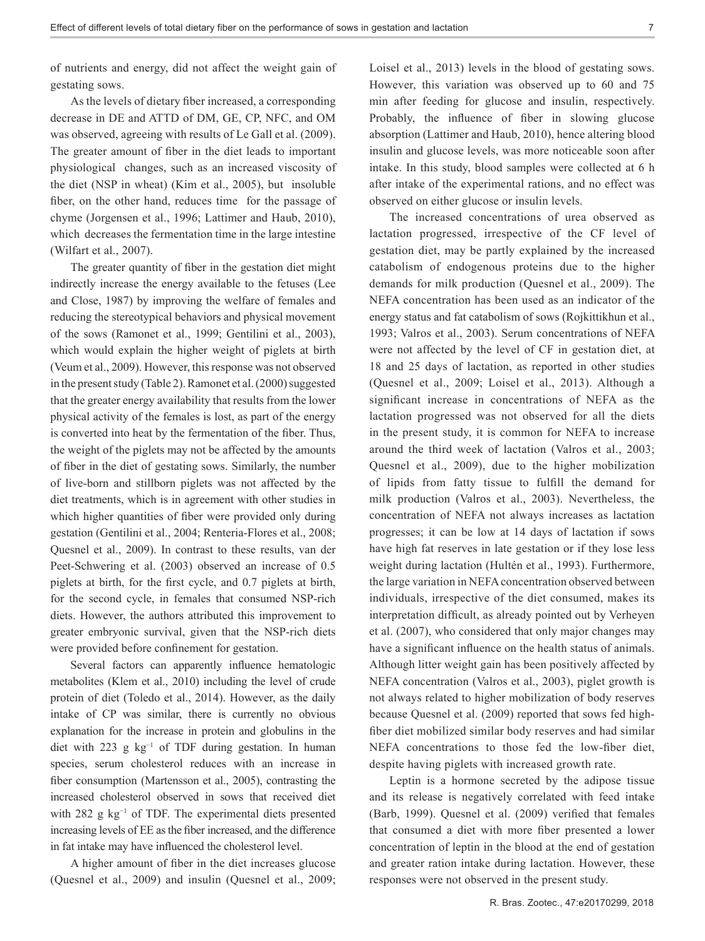of nutrients and energy, did not affect the weight gain of gestating sows.

As the levels of dietary fiber increased, a corresponding decrease in DE and ATTD of DM, GE, CP, NFC, and OM was observed, agreeing with results of Le Gall et al. (2009). The greater amount of fiber in the diet leads to important physiological changes, such as an increased viscosity of the diet (NSP in wheat) (Kim et al., 2005), but insoluble fiber, on the other hand, reduces time for the passage of chyme (Jorgensen et al., 1996; Lattimer and Haub, 2010), which decreases the fermentation time in the large intestine (Wilfart et al., 2007).

The greater quantity of fiber in the gestation diet might indirectly increase the energy available to the fetuses (Lee and Close, 1987) by improving the welfare of females and reducing the stereotypical behaviors and physical movement of the sows (Ramonet et al., 1999; Gentilini et al., 2003), which would explain the higher weight of piglets at birth (Veum et al., 2009). However, this response was not observed in the present study (Table 2). Ramonet et al. (2000) suggested that the greater energy availability that results from the lower physical activity of the females is lost, as part of the energy is converted into heat by the fermentation of the fiber. Thus, the weight of the piglets may not be affected by the amounts of fiber in the diet of gestating sows. Similarly, the number of live-born and stillborn piglets was not affected by the diet treatments, which is in agreement with other studies in which higher quantities of fiber were provided only during gestation (Gentilini et al., 2004; Renteria-Flores et al., 2008; Quesnel et al., 2009). In contrast to these results, van der Peet-Schwering et al. (2003) observed an increase of 0.5 piglets at birth, for the first cycle, and 0.7 piglets at birth, for the second cycle, in females that consumed NSP-rich diets. However, the authors attributed this improvement to greater embryonic survival, given that the NSP-rich diets were provided before confinement for gestation.

Several factors can apparently influence hematologic metabolites (Klem et al., 2010) including the level of crude protein of diet (Toledo et al., 2014). However, as the daily intake of CP was similar, there is currently no obvious explanation for the increase in protein and globulins in the diet with 223 g kg−1 of TDF during gestation. In human species, serum cholesterol reduces with an increase in fiber consumption (Martensson et al., 2005), contrasting the increased cholesterol observed in sows that received diet with 282 g kg<sup>-1</sup> of TDF. The experimental diets presented increasing levels of EE as the fiber increased, and the difference in fat intake may have influenced the cholesterol level.

A higher amount of fiber in the diet increases glucose (Quesnel et al., 2009) and insulin (Quesnel et al., 2009; Loisel et al., 2013) levels in the blood of gestating sows. However, this variation was observed up to 60 and 75 min after feeding for glucose and insulin, respectively. Probably, the influence of fiber in slowing glucose absorption (Lattimer and Haub, 2010), hence altering blood insulin and glucose levels, was more noticeable soon after intake. In this study, blood samples were collected at 6 h after intake of the experimental rations, and no effect was observed on either glucose or insulin levels.

The increased concentrations of urea observed as lactation progressed, irrespective of the CF level of gestation diet, may be partly explained by the increased catabolism of endogenous proteins due to the higher demands for milk production (Quesnel et al., 2009). The NEFA concentration has been used as an indicator of the energy status and fat catabolism of sows (Rojkittikhun et al., 1993; Valros et al., 2003). Serum concentrations of NEFA were not affected by the level of CF in gestation diet, at 18 and 25 days of lactation, as reported in other studies (Quesnel et al., 2009; Loisel et al., 2013). Although a significant increase in concentrations of NEFA as the lactation progressed was not observed for all the diets in the present study, it is common for NEFA to increase around the third week of lactation (Valros et al., 2003; Quesnel et al., 2009), due to the higher mobilization of lipids from fatty tissue to fulfill the demand for milk production (Valros et al., 2003). Nevertheless, the concentration of NEFA not always increases as lactation progresses; it can be low at 14 days of lactation if sows have high fat reserves in late gestation or if they lose less weight during lactation (Hultén et al., 1993). Furthermore, the large variation in NEFA concentration observed between individuals, irrespective of the diet consumed, makes its interpretation difficult, as already pointed out by Verheyen et al. (2007), who considered that only major changes may have a significant influence on the health status of animals. Although litter weight gain has been positively affected by NEFA concentration (Valros et al., 2003), piglet growth is not always related to higher mobilization of body reserves because Quesnel et al. (2009) reported that sows fed highfiber diet mobilized similar body reserves and had similar NEFA concentrations to those fed the low-fiber diet, despite having piglets with increased growth rate.

Leptin is a hormone secreted by the adipose tissue and its release is negatively correlated with feed intake (Barb, 1999). Quesnel et al. (2009) verified that females that consumed a diet with more fiber presented a lower concentration of leptin in the blood at the end of gestation and greater ration intake during lactation. However, these responses were not observed in the present study.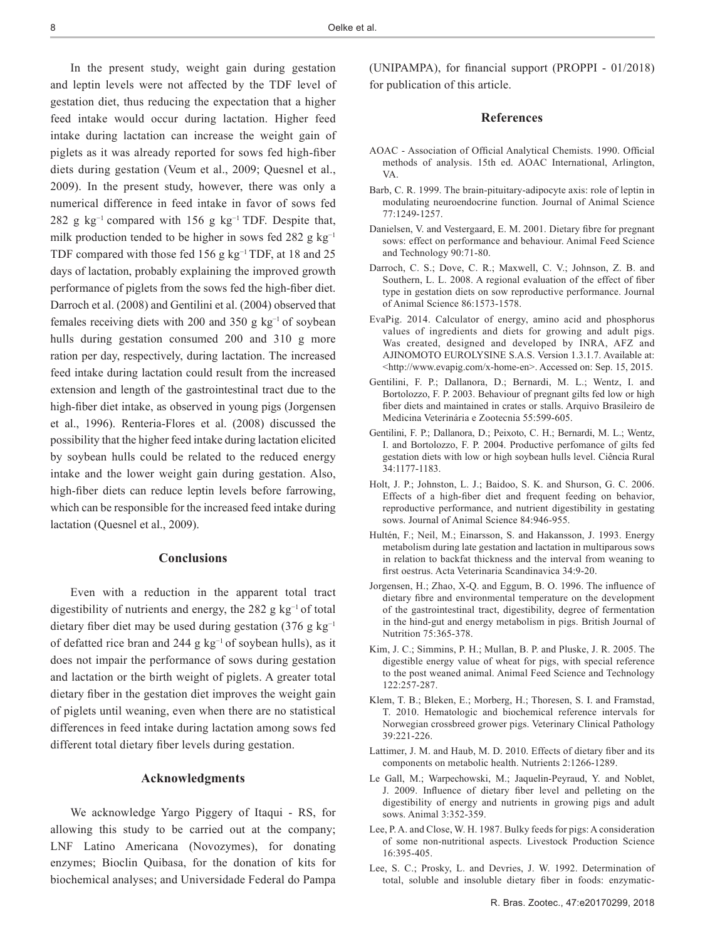In the present study, weight gain during gestation and leptin levels were not affected by the TDF level of gestation diet, thus reducing the expectation that a higher feed intake would occur during lactation. Higher feed intake during lactation can increase the weight gain of piglets as it was already reported for sows fed high-fiber diets during gestation (Veum et al., 2009; Quesnel et al., 2009). In the present study, however, there was only a numerical difference in feed intake in favor of sows fed 282 g kg<sup>-1</sup> compared with 156 g kg<sup>-1</sup> TDF. Despite that, milk production tended to be higher in sows fed 282 g  $kg^{-1}$ TDF compared with those fed 156 g kg<sup>-1</sup> TDF, at 18 and 25 days of lactation, probably explaining the improved growth performance of piglets from the sows fed the high-fiber diet. Darroch et al. (2008) and Gentilini et al. (2004) observed that females receiving diets with 200 and 350 g kg<sup>-1</sup> of soybean hulls during gestation consumed 200 and 310 g more ration per day, respectively, during lactation. The increased feed intake during lactation could result from the increased extension and length of the gastrointestinal tract due to the high-fiber diet intake, as observed in young pigs (Jorgensen et al., 1996). Renteria-Flores et al. (2008) discussed the possibility that the higher feed intake during lactation elicited by soybean hulls could be related to the reduced energy intake and the lower weight gain during gestation. Also, high-fiber diets can reduce leptin levels before farrowing, which can be responsible for the increased feed intake during lactation (Quesnel et al., 2009).

### **Conclusions**

Even with a reduction in the apparent total tract digestibility of nutrients and energy, the 282 g kg−1 of total dietary fiber diet may be used during gestation (376 g kg<sup>-1</sup>) of defatted rice bran and 244 g kg−1 of soybean hulls), as it does not impair the performance of sows during gestation and lactation or the birth weight of piglets. A greater total dietary fiber in the gestation diet improves the weight gain of piglets until weaning, even when there are no statistical differences in feed intake during lactation among sows fed different total dietary fiber levels during gestation.

#### **Acknowledgments**

We acknowledge Yargo Piggery of Itaqui - RS, for allowing this study to be carried out at the company; LNF Latino Americana (Novozymes), for donating enzymes; Bioclin Quibasa, for the donation of kits for biochemical analyses; and Universidade Federal do Pampa

(UNIPAMPA), for financial support (PROPPI - 01/2018) for publication of this article.

#### **References**

- AOAC Association of Official Analytical Chemists. 1990. Official methods of analysis. 15th ed. AOAC International, Arlington, VA.
- Barb, C. R. 1999. The brain-pituitary-adipocyte axis: role of leptin in modulating neuroendocrine function. Journal of Animal Science 77:1249-1257.
- Danielsen, V. and Vestergaard, E. M. 2001. Dietary fibre for pregnant sows: effect on performance and behaviour. Animal Feed Science and Technology 90:71-80.
- Darroch, C. S.; Dove, C. R.; Maxwell, C. V.; Johnson, Z. B. and Southern, L. L. 2008. A regional evaluation of the effect of fiber type in gestation diets on sow reproductive performance. Journal of Animal Science 86:1573-1578.
- EvaPig. 2014. Calculator of energy, amino acid and phosphorus values of ingredients and diets for growing and adult pigs. Was created, designed and developed by INRA, AFZ and AJINOMOTO EUROLYSINE S.A.S. Version 1.3.1.7. Available at: <http://www.evapig.com/x-home-en>. Accessed on: Sep. 15, 2015.
- Gentilini, F. P.; Dallanora, D.; Bernardi, M. L.; Wentz, I. and Bortolozzo, F. P. 2003. Behaviour of pregnant gilts fed low or high fiber diets and maintained in crates or stalls. Arquivo Brasileiro de Medicina Veterinária e Zootecnia 55:599-605.
- Gentilini, F. P.; Dallanora, D.; Peixoto, C. H.; Bernardi, M. L.; Wentz, I. and Bortolozzo, F. P. 2004. Productive perfomance of gilts fed gestation diets with low or high soybean hulls level. Ciência Rural 34:1177-1183.
- Holt, J. P.; Johnston, L. J.; Baidoo, S. K. and Shurson, G. C. 2006. Effects of a high-fiber diet and frequent feeding on behavior, reproductive performance, and nutrient digestibility in gestating sows. Journal of Animal Science 84:946-955.
- Hultén, F.; Neil, M.; Einarsson, S. and Hakansson, J. 1993. Energy metabolism during late gestation and lactation in multiparous sows in relation to backfat thickness and the interval from weaning to first oestrus. Acta Veterinaria Scandinavica 34:9-20.
- Jorgensen, H.; Zhao, X-Q. and Eggum, B. O. 1996. The influence of dietary fibre and environmental temperature on the development of the gastrointestinal tract, digestibility, degree of fermentation in the hind-gut and energy metabolism in pigs. British Journal of Nutrition 75:365-378.
- Kim, J. C.; Simmins, P. H.; Mullan, B. P. and Pluske, J. R. 2005. The digestible energy value of wheat for pigs, with special reference to the post weaned animal. Animal Feed Science and Technology 122:257-287.
- Klem, T. B.; Bleken, E.; Morberg, H.; Thoresen, S. I. and Framstad, T. 2010. Hematologic and biochemical reference intervals for Norwegian crossbreed grower pigs. Veterinary Clinical Pathology 39:221-226.
- Lattimer, J. M. and Haub, M. D. 2010. Effects of dietary fiber and its components on metabolic health. Nutrients 2:1266-1289.
- Le Gall, M.; Warpechowski, M.; Jaquelin-Peyraud, Y. and Noblet, J. 2009. Influence of dietary fiber level and pelleting on the digestibility of energy and nutrients in growing pigs and adult sows. Animal 3:352-359.
- Lee, P. A. and Close, W. H. 1987. Bulky feeds for pigs: A consideration of some non-nutritional aspects. Livestock Production Science 16:395-405.
- Lee, S. C.; Prosky, L. and Devries, J. W. 1992. Determination of total, soluble and insoluble dietary fiber in foods: enzymatic-